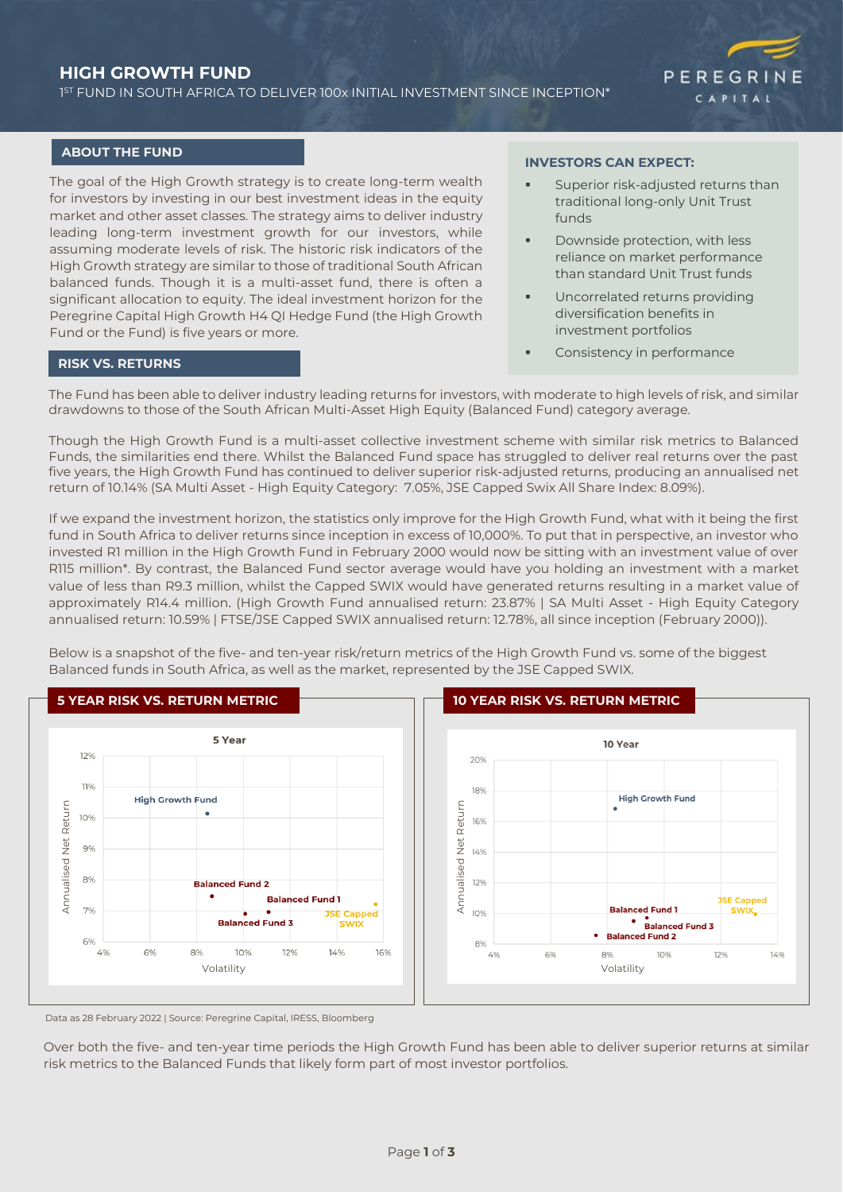# **HIGH GROWTH FUND**

1 ST FUND IN SOUTH AFRICA TO DELIVER 100x INITIAL INVESTMENT SINCE INCEPTION\*



### **ABOUT THE FUND**

The goal of the High Growth strategy is to create long-term wealth for investors by investing in our best investment ideas in the equity market and other asset classes. The strategy aims to deliver industry leading long-term investment growth for our investors, while assuming moderate levels of risk. The historic risk indicators of the High Growth strategy are similar to those of traditional South African balanced funds. Though it is a multi-asset fund, there is often a significant allocation to equity. The ideal investment horizon for the Peregrine Capital High Growth H4 QI Hedge Fund (the High Growth Fund or the Fund) is five years or more.

#### **INVESTORS CAN EXPECT:**

- Superior risk-adjusted returns than traditional long-only Unit Trust funds
- Downside protection, with less reliance on market performance than standard Unit Trust funds
- Uncorrelated returns providing diversification benefits in investment portfolios
- Consistency in performance

# **RISK VS. RETURNS**

The Fund has been able to deliver industry leading returns for investors, with moderate to high levels of risk, and similar drawdowns to those of the South African Multi-Asset High Equity (Balanced Fund) category average.

Though the High Growth Fund is a multi-asset collective investment scheme with similar risk metrics to Balanced Funds, the similarities end there. Whilst the Balanced Fund space has struggled to deliver real returns over the past five years, the High Growth Fund has continued to deliver superior risk-adjusted returns, producing an annualised net return of 10.14% (SA Multi Asset - High Equity Category: 7.05%, JSE Capped Swix All Share Index: 8.09%).

If we expand the investment horizon, the statistics only improve for the High Growth Fund, what with it being the first fund in South Africa to deliver returns since inception in excess of 10,000%. To put that in perspective, an investor who invested R1 million in the High Growth Fund in February 2000 would now be sitting with an investment value of over R115 million\*. By contrast, the Balanced Fund sector average would have you holding an investment with a market value of less than R9.3 million, whilst the Capped SWIX would have generated returns resulting in a market value of approximately R14.4 million. (High Growth Fund annualised return: 23.87% | SA Multi Asset - High Equity Category annualised return: 10.59% | FTSE/JSE Capped SWIX annualised return: 12.78%, all since inception (February 2000)).

Below is a snapshot of the five- and ten-year risk/return metrics of the High Growth Fund vs. some of the biggest Balanced funds in South Africa, as well as the market, represented by the JSE Capped SWIX.



Data as 28 February 2022 | Source: Peregrine Capital, IRESS, Bloomberg

Over both the five- and ten-year time periods the High Growth Fund has been able to deliver superior returns at similar risk metrics to the Balanced Funds that likely form part of most investor portfolios.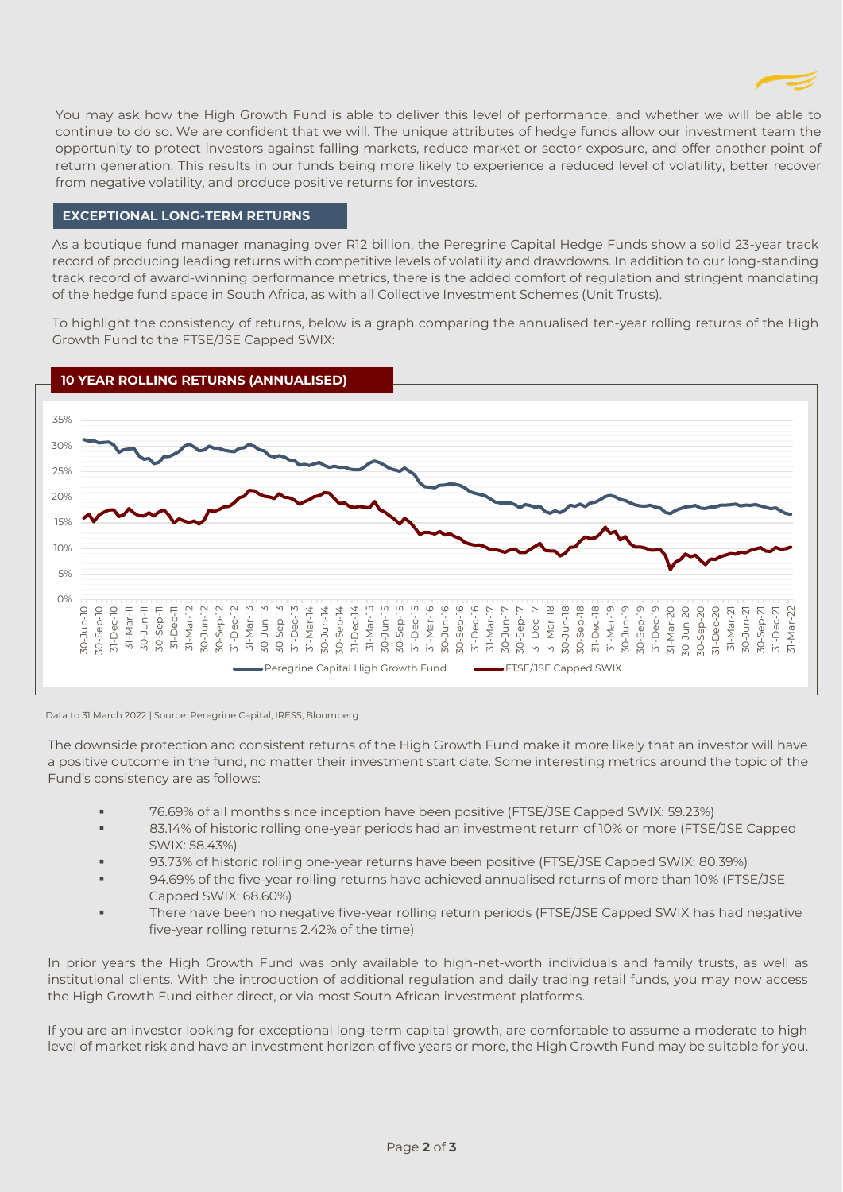

You may ask how the High Growth Fund is able to deliver this level of performance, and whether we will be able to continue to do so. We are confident that we will. The unique attributes of hedge funds allow our investment team the opportunity to protect investors against falling markets, reduce market or sector exposure, and offer another point of return generation. This results in our funds being more likely to experience a reduced level of volatility, better recover from negative volatility, and produce positive returns for investors.

## **EXCEPTIONAL LONG-TERM RETURNS**

As a boutique fund manager managing over R12 billion, the Peregrine Capital Hedge Funds show a solid 23-year track record of producing leading returns with competitive levels of volatility and drawdowns. In addition to our long-standing track record of award-winning performance metrics, there is the added comfort of regulation and stringent mandating of the hedge fund space in South Africa, as with all Collective Investment Schemes (Unit Trusts).

To highlight the consistency of returns, below is a graph comparing the annualised ten-year rolling returns of the High Growth Fund to the FTSE/JSE Capped SWIX:



Data to 31 March 2022 | Source: Peregrine Capital, IRESS, Bloomberg

The downside protection and consistent returns of the High Growth Fund make it more likely that an investor will have a positive outcome in the fund, no matter their investment start date. Some interesting metrics around the topic of the Fund's consistency are as follows:

- 76.69% of all months since inception have been positive (FTSE/JSE Capped SWIX: 59.23%)
- 83.14% of historic rolling one-year periods had an investment return of 10% or more (FTSE/JSE Capped SWIX: 58.43%)
- 93.73% of historic rolling one-year returns have been positive (FTSE/JSE Capped SWIX: 80.39%)
- 94.69% of the five-year rolling returns have achieved annualised returns of more than 10% (FTSE/JSE Capped SWIX: 68.60%)
- There have been no negative five-year rolling return periods (FTSE/JSE Capped SWIX has had negative five-year rolling returns 2.42% of the time)

In prior years the High Growth Fund was only available to high-net-worth individuals and family trusts, as well as institutional clients. With the introduction of additional regulation and daily trading retail funds, you may now access the High Growth Fund either direct, or via most South African investment platforms.

If you are an investor looking for exceptional long-term capital growth, are comfortable to assume a moderate to high level of market risk and have an investment horizon of five years or more, the High Growth Fund may be suitable for you.